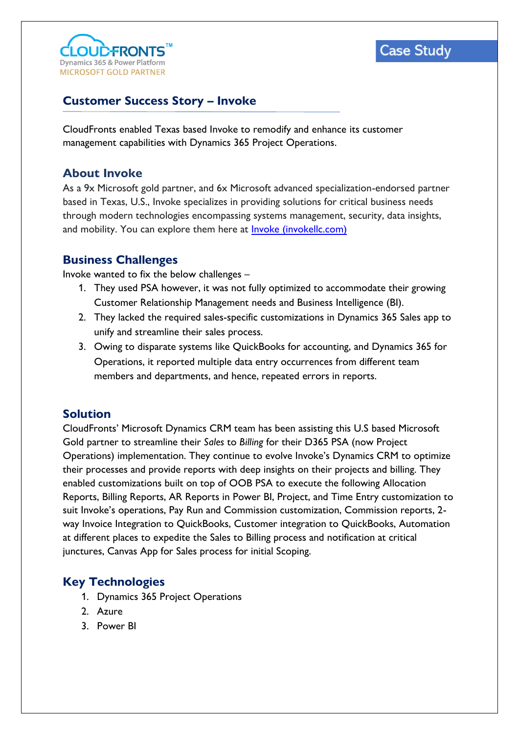

# **Case Study**

# **Customer Success Story – Invoke**

CloudFronts enabled Texas based Invoke to remodify and enhance its customer management capabilities with Dynamics 365 Project Operations.

### **About Invoke**

As a 9x Microsoft gold partner, and 6x Microsoft advanced specialization-endorsed partner based in Texas, U.S., Invoke specializes in providing solutions for critical business needs through modern technologies encompassing systems management, security, data insights, and mobility. You can explore them here at [Invoke \(invokellc.com\)](https://www.invokellc.com/) 

#### **Business Challenges**

Invoke wanted to fix the below challenges –

- 1. They used PSA however, it was not fully optimized to accommodate their growing Customer Relationship Management needs and Business Intelligence (BI).
- 2. They lacked the required sales-specific customizations in Dynamics 365 Sales app to unify and streamline their sales process.
- 3. Owing to disparate systems like QuickBooks for accounting, and Dynamics 365 for Operations, it reported multiple data entry occurrences from different team members and departments, and hence, repeated errors in reports.

## **Solution**

CloudFronts' Microsoft Dynamics CRM team has been assisting this U.S based Microsoft Gold partner to streamline their *Sales* to *Billing* for their D365 PSA (now Project Operations) implementation. They continue to evolve Invoke's Dynamics CRM to optimize their processes and provide reports with deep insights on their projects and billing. They enabled customizations built on top of OOB PSA to execute the following Allocation Reports, Billing Reports, AR Reports in Power BI, Project, and Time Entry customization to suit Invoke's operations, Pay Run and Commission customization, Commission reports, 2 way Invoice Integration to QuickBooks, Customer integration to QuickBooks, Automation at different places to expedite the Sales to Billing process and notification at critical junctures, Canvas App for Sales process for initial Scoping.

# **Key Technologies**

- 1. Dynamics 365 Project Operations
- 2. Azure
- 3. Power BI